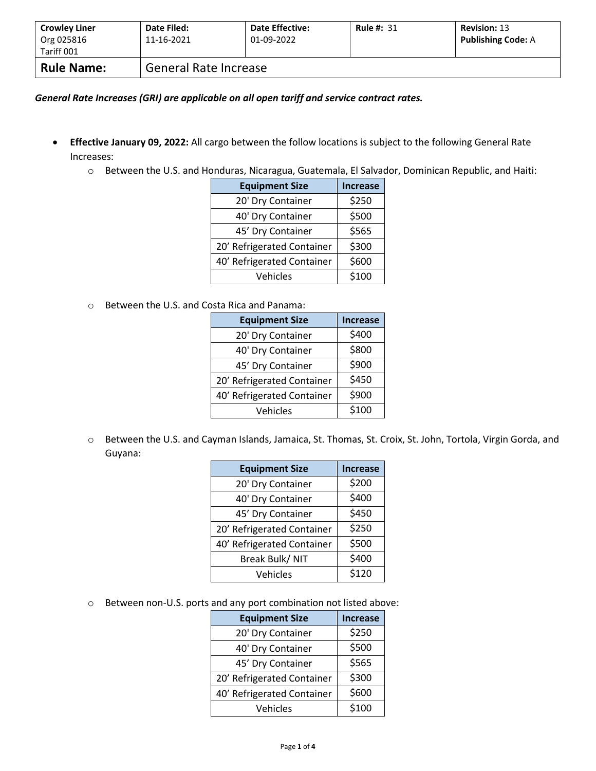| <b>Crowley Liner</b><br>Org 025816<br>Tariff 001 | Date Filed:<br>11-16-2021 | <b>Date Effective:</b><br>01-09-2022 | <b>Rule #: 31</b> | <b>Revision: 13</b><br><b>Publishing Code: A</b> |
|--------------------------------------------------|---------------------------|--------------------------------------|-------------------|--------------------------------------------------|
| <b>Rule Name:</b>                                | General Rate Increase     |                                      |                   |                                                  |

*General Rate Increases (GRI) are applicable on all open tariff and service contract rates.*

- **Effective January 09, 2022:** All cargo between the follow locations is subject to the following General Rate Increases:
	- o Between the U.S. and Honduras, Nicaragua, Guatemala, El Salvador, Dominican Republic, and Haiti:

| <b>Equipment Size</b>      | <b>Increase</b> |
|----------------------------|-----------------|
| 20' Dry Container          | \$250           |
| 40' Dry Container          | \$500           |
| 45' Dry Container          | \$565           |
| 20' Refrigerated Container | \$300           |
| 40' Refrigerated Container | \$600           |
| Vehicles                   | \$100           |

o Between the U.S. and Costa Rica and Panama:

| <b>Equipment Size</b>      | <b>Increase</b> |
|----------------------------|-----------------|
| 20' Dry Container          | \$400           |
| 40' Dry Container          | \$800           |
| 45' Dry Container          | \$900           |
| 20' Refrigerated Container | \$450           |
| 40' Refrigerated Container | \$900           |
| Vehicles                   | \$100           |

o Between the U.S. and Cayman Islands, Jamaica, St. Thomas, St. Croix, St. John, Tortola, Virgin Gorda, and Guyana:

| <b>Equipment Size</b>      | <b>Increase</b> |
|----------------------------|-----------------|
| 20' Dry Container          | \$200           |
| 40' Dry Container          | \$400           |
| 45' Dry Container          | \$450           |
| 20' Refrigerated Container | \$250           |
| 40' Refrigerated Container | \$500           |
| Break Bulk/ NIT            | \$400           |
| Vehicles                   | \$120           |

o Between non-U.S. ports and any port combination not listed above:

| <b>Equipment Size</b>      | <b>Increase</b> |
|----------------------------|-----------------|
| 20' Dry Container          | \$250           |
| 40' Dry Container          | \$500           |
| 45' Dry Container          | \$565           |
| 20' Refrigerated Container | \$300           |
| 40' Refrigerated Container | \$600           |
| Vehicles                   | \$100           |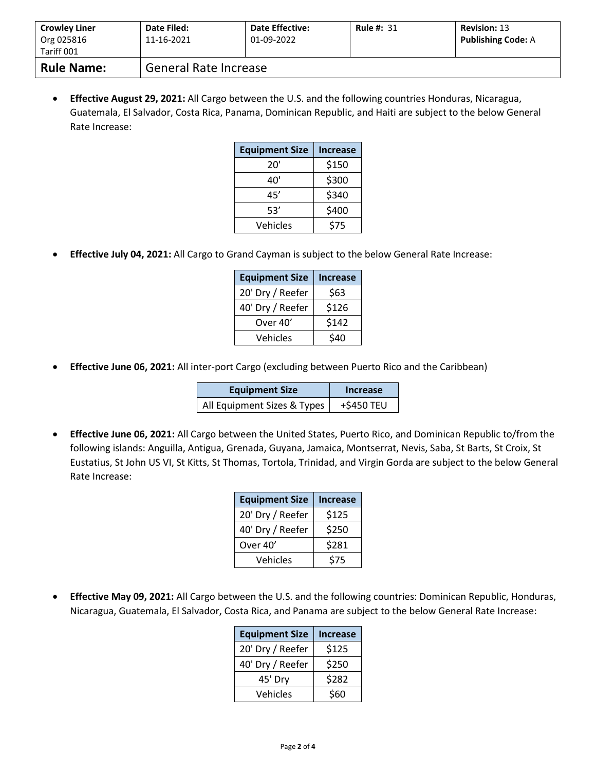| <b>Crowley Liner</b><br>Org 025816<br>Tariff 001 | Date Filed:<br>11-16-2021    | <b>Date Effective:</b><br>01-09-2022 | <b>Rule #: 31</b> | <b>Revision: 13</b><br><b>Publishing Code: A</b> |
|--------------------------------------------------|------------------------------|--------------------------------------|-------------------|--------------------------------------------------|
| <b>Rule Name:</b>                                | <b>General Rate Increase</b> |                                      |                   |                                                  |

• **Effective August 29, 2021:** All Cargo between the U.S. and the following countries Honduras, Nicaragua, Guatemala, El Salvador, Costa Rica, Panama, Dominican Republic, and Haiti are subject to the below General Rate Increase:

| <b>Equipment Size</b> | Increase |  |
|-----------------------|----------|--|
| 20'                   | \$150    |  |
| 40'                   | \$300    |  |
| 45'                   | \$340    |  |
| 53'                   | \$400    |  |
| Vehicles              | \$75     |  |

• **Effective July 04, 2021:** All Cargo to Grand Cayman is subject to the below General Rate Increase:

| <b>Equipment Size</b> | <b>Increase</b> |  |
|-----------------------|-----------------|--|
| 20' Dry / Reefer      | \$63            |  |
| 40' Dry / Reefer      | \$126           |  |
| Over 40'              | \$142           |  |
| Vehicles              | \$40            |  |

• **Effective June 06, 2021:** All inter-port Cargo (excluding between Puerto Rico and the Caribbean)

| <b>Equipment Size</b>       | Increase   |  |
|-----------------------------|------------|--|
| All Equipment Sizes & Types | +\$450 TEU |  |

• **Effective June 06, 2021:** All Cargo between the United States, Puerto Rico, and Dominican Republic to/from the following islands: Anguilla, Antigua, Grenada, Guyana, Jamaica, Montserrat, Nevis, Saba, St Barts, St Croix, St Eustatius, St John US VI, St Kitts, St Thomas, Tortola, Trinidad, and Virgin Gorda are subject to the below General Rate Increase:

| <b>Equipment Size</b> | <b>Increase</b> |  |
|-----------------------|-----------------|--|
| 20' Dry / Reefer      | \$125           |  |
| 40' Dry / Reefer      | \$250           |  |
| Over 40'              | \$281           |  |
| Vehicles              | \$75            |  |

• **Effective May 09, 2021:** All Cargo between the U.S. and the following countries: Dominican Republic, Honduras, Nicaragua, Guatemala, El Salvador, Costa Rica, and Panama are subject to the below General Rate Increase:

| <b>Equipment Size</b> | <b>Increase</b> |  |
|-----------------------|-----------------|--|
| 20' Dry / Reefer      | \$125           |  |
| 40' Dry / Reefer      | \$250           |  |
| 45' Dry               | \$282           |  |
| Vehicles              | \$60            |  |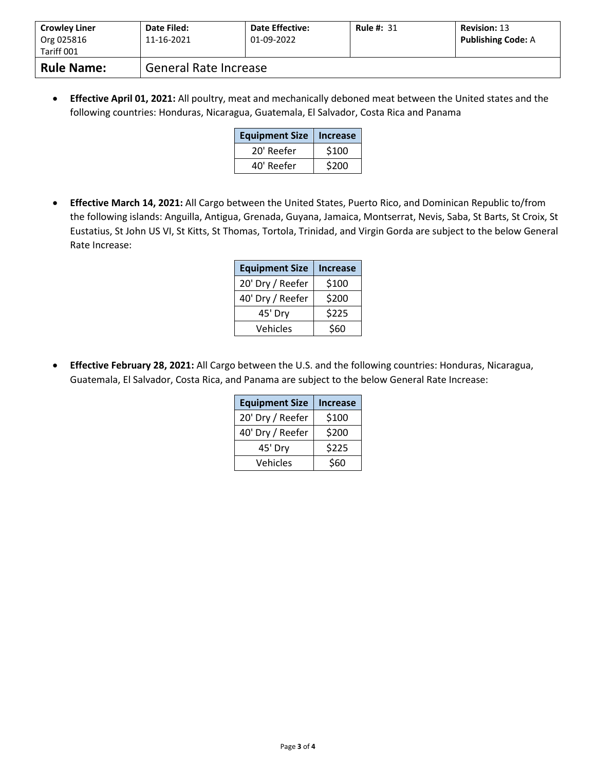| <b>Crowley Liner</b><br>Org 025816<br>Tariff 001 | Date Filed:<br>11-16-2021 | <b>Date Effective:</b><br>01-09-2022 | <b>Rule #: 31</b> | <b>Revision: 13</b><br><b>Publishing Code: A</b> |
|--------------------------------------------------|---------------------------|--------------------------------------|-------------------|--------------------------------------------------|
| <b>Rule Name:</b>                                | General Rate Increase     |                                      |                   |                                                  |

• **Effective April 01, 2021:** All poultry, meat and mechanically deboned meat between the United states and the following countries: Honduras, Nicaragua, Guatemala, El Salvador, Costa Rica and Panama

| <b>Equipment Size</b> | <b>Increase</b> |
|-----------------------|-----------------|
| 20' Reefer            | \$100           |
| 40' Reefer            | \$200           |

• **Effective March 14, 2021:** All Cargo between the United States, Puerto Rico, and Dominican Republic to/from the following islands: Anguilla, Antigua, Grenada, Guyana, Jamaica, Montserrat, Nevis, Saba, St Barts, St Croix, St Eustatius, St John US VI, St Kitts, St Thomas, Tortola, Trinidad, and Virgin Gorda are subject to the below General Rate Increase:

| <b>Equipment Size</b> | <b>Increase</b> |
|-----------------------|-----------------|
| 20' Dry / Reefer      | \$100           |
| 40' Dry / Reefer      | \$200           |
| 45' Dry               | \$225           |
| Vehicles              | \$60            |

• **Effective February 28, 2021:** All Cargo between the U.S. and the following countries: Honduras, Nicaragua, Guatemala, El Salvador, Costa Rica, and Panama are subject to the below General Rate Increase:

| <b>Equipment Size</b> | <b>Increase</b> |
|-----------------------|-----------------|
| 20' Dry / Reefer      | \$100           |
| 40' Dry / Reefer      | \$200           |
| 45' Dry               | \$225           |
| Vehicles              | \$60            |